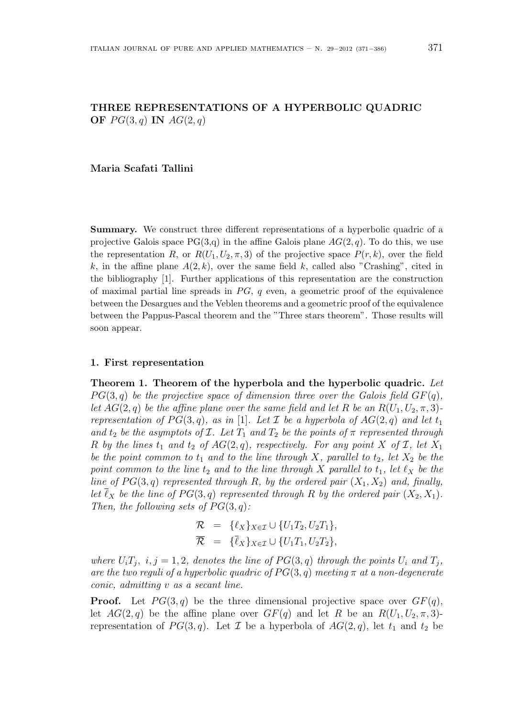# THREE REPRESENTATIONS OF A HYPERBOLIC QUADRIC OF  $PG(3,q)$  IN  $AG(2,q)$

### Maria Scafati Tallini

Summary. We construct three different representations of a hyperbolic quadric of a projective Galois space  $PG(3,q)$  in the affine Galois plane  $AG(2,q)$ . To do this, we use the representation R, or  $R(U_1, U_2, \pi, 3)$  of the projective space  $P(r, k)$ , over the field k, in the affine plane  $A(2, k)$ , over the same field k, called also "Crashing", cited in the bibliography [1]. Further applications of this representation are the construction of maximal partial line spreads in  $PG$ , q even, a geometric proof of the equivalence between the Desargues and the Veblen theorems and a geometric proof of the equivalence between the Pappus-Pascal theorem and the "Three stars theorem". Those results will soon appear.

#### 1. First representation

Theorem 1. Theorem of the hyperbola and the hyperbolic quadric. Let  $PG(3, q)$  be the projective space of dimension three over the Galois field  $GF(q)$ , let  $AG(2, q)$  be the affine plane over the same field and let R be an  $R(U_1, U_2, \pi, 3)$ representation of  $PG(3, q)$ , as in [1]. Let  $\mathcal I$  be a hyperbola of  $AG(2, q)$  and let  $t_1$ and  $t_2$  be the asymptots of  $\mathcal I$ . Let  $T_1$  and  $T_2$  be the points of  $\pi$  represented through R by the lines  $t_1$  and  $t_2$  of  $AG(2, q)$ , respectively. For any point X of I, let  $X_1$ be the point common to  $t_1$  and to the line through X, parallel to  $t_2$ , let  $X_2$  be the point common to the line  $t_2$  and to the line through X parallel to  $t_1$ , let  $\ell_X$  be the line of  $PG(3, q)$  represented through R, by the ordered pair  $(X_1, X_2)$  and, finally, let  $\ell_X$  be the line of  $PG(3, q)$  represented through R by the ordered pair  $(X_2, X_1)$ . Then, the following sets of  $PG(3, q)$ :

$$
\mathcal{R} = \{ \ell_X \}_{X \in \mathcal{I}} \cup \{ U_1 T_2, U_2 T_1 \},
$$
  

$$
\overline{\mathcal{R}} = \{ \overline{\ell}_X \}_{X \in \mathcal{I}} \cup \{ U_1 T_1, U_2 T_2 \},
$$

where  $U_i T_j$ ,  $i, j = 1, 2$ , denotes the line of  $PG(3, q)$  through the points  $U_i$  and  $T_j$ , are the two reguli of a hyperbolic quadric of  $PG(3, q)$  meeting  $\pi$  at a non-degenerate conic, admitting v as a secant line.

**Proof.** Let  $PG(3,q)$  be the three dimensional projective space over  $GF(q)$ , let  $AG(2,q)$  be the affine plane over  $GF(q)$  and let R be an  $R(U_1, U_2, \pi, 3)$ representation of  $PG(3, q)$ . Let  $\mathcal I$  be a hyperbola of  $AG(2, q)$ , let  $t_1$  and  $t_2$  be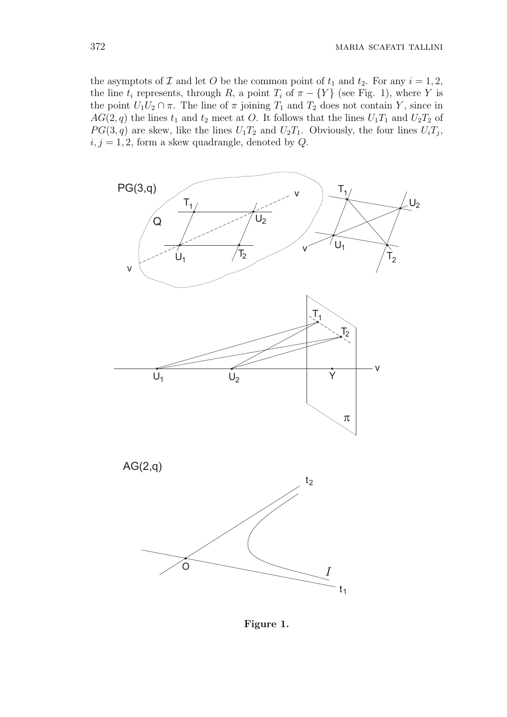the asymptots of  $\mathcal I$  and let  $O$  be the common point of  $t_1$  and  $t_2$ . For any  $i = 1, 2$ , the line  $t_i$  represents, through R, a point  $T_i$  of  $\pi - \{Y\}$  (see Fig. 1), where Y is the point  $U_1U_2 \cap \pi$ . The line of  $\pi$  joining  $T_1$  and  $T_2$  does not contain Y, since in  $AG(2, q)$  the lines  $t_1$  and  $t_2$  meet at O. It follows that the lines  $U_1T_1$  and  $U_2T_2$  of  $PG(3, q)$  are skew, like the lines  $U_1T_2$  and  $U_2T_1$ . Obviously, the four lines  $U_iT_j$ ,  $i, j = 1, 2$ , form a skew quadrangle, denoted by  $Q$ .



Figure 1.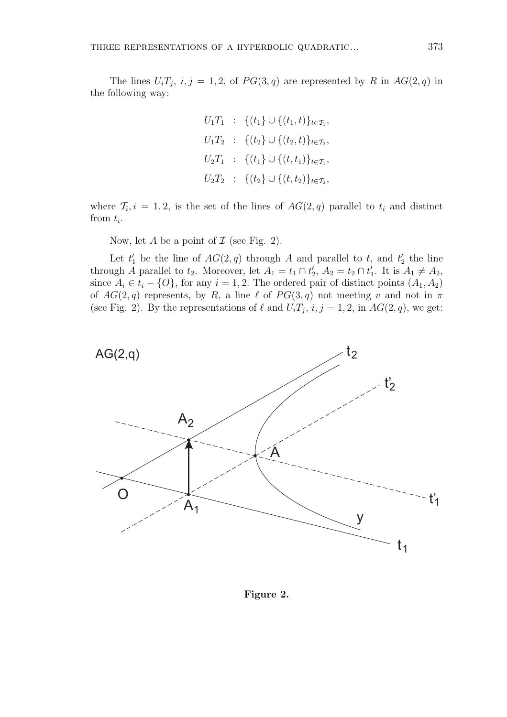The lines  $U_i T_j$ ,  $i, j = 1, 2$ , of  $PG(3, q)$  are represented by R in  $AG(2, q)$  in the following way:

$$
U_1T_1 : \{(t_1\} \cup \{(t_1, t)\}_{t \in T_1},
$$
  
\n
$$
U_1T_2 : \{(t_2\} \cup \{(t_2, t)\}_{t \in T_2},
$$
  
\n
$$
U_2T_1 : \{(t_1\} \cup \{(t, t_1)\}_{t \in T_1},
$$
  
\n
$$
U_2T_2 : \{(t_2\} \cup \{(t, t_2)\}_{t \in T_2},
$$

where  $\mathcal{T}_i$ ,  $i = 1, 2$ , is the set of the lines of  $AG(2, q)$  parallel to  $t_i$  and distinct from  $t_i$ .

Now, let  $A$  be a point of  $\mathcal I$  (see Fig. 2).

Let  $t_1'$  be the line of  $AG(2, q)$  through A and parallel to t, and  $t_2'$  the line through A parallel to  $t_2$ . Moreover, let  $A_1 = t_1 \cap t_2'$ ,  $A_2 = t_2 \cap t_1'$ . It is  $A_1 \neq A_2$ , since  $A_i \in t_i - \{O\}$ , for any  $i = 1, 2$ . The ordered pair of distinct points  $(A_1, A_2)$ of  $AG(2, q)$  represents, by R, a line  $\ell$  of  $PG(3, q)$  not meeting v and not in  $\pi$ (see Fig. 2). By the representations of  $\ell$  and  $U_iT_j$ ,  $i, j = 1, 2$ , in  $AG(2, q)$ , we get:



Figure 2.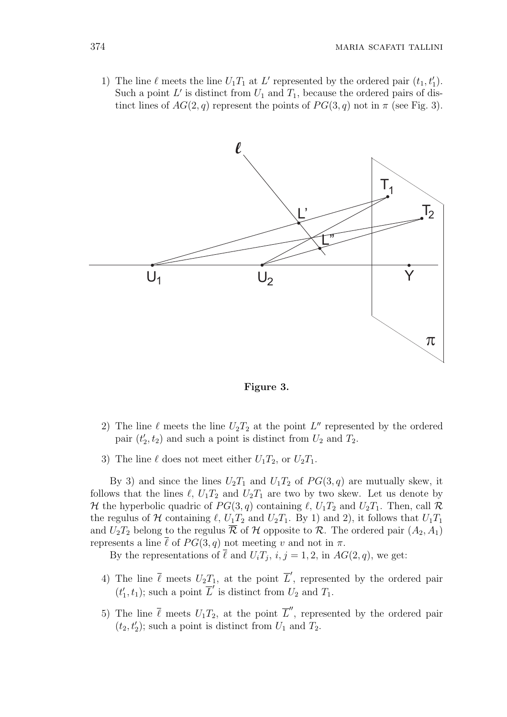1) The line  $\ell$  meets the line  $U_1T_1$  at  $L'$  represented by the ordered pair  $(t_1, t'_1)$ . Such a point  $L'$  is distinct from  $U_1$  and  $T_1$ , because the ordered pairs of distinct lines of  $AG(2, q)$  represent the points of  $PG(3, q)$  not in  $\pi$  (see Fig. 3).



Figure 3.

- 2) The line  $\ell$  meets the line  $U_2T_2$  at the point L'' represented by the ordered pair  $(t'_2, t_2)$  and such a point is distinct from  $U_2$  and  $T_2$ .
- 3) The line  $\ell$  does not meet either  $U_1T_2$ , or  $U_2T_1$ .

By 3) and since the lines  $U_2T_1$  and  $U_1T_2$  of  $PG(3, q)$  are mutually skew, it follows that the lines  $\ell$ ,  $U_1T_2$  and  $U_2T_1$  are two by two skew. Let us denote by H the hyperbolic quadric of  $PG(3, q)$  containing  $\ell$ ,  $U_1T_2$  and  $U_2T_1$ . Then, call R the regulus of H containing  $\ell$ ,  $U_1T_2$  and  $U_2T_1$ . By 1) and 2), it follows that  $U_1T_1$ and  $U_2T_2$  belong to the regulus  $\overline{\mathcal{R}}$  of  $\mathcal{H}$  opposite to  $\mathcal{R}$ . The ordered pair  $(A_2, A_1)$ represents a line  $\bar{\ell}$  of  $PG(3, q)$  not meeting v and not in  $\pi$ .

By the representations of  $\ell$  and  $U_iT_j$ ,  $i, j = 1, 2$ , in  $AG(2, q)$ , we get:

- 4) The line  $\bar{\ell}$  meets  $U_2T_1$ , at the point  $\bar{L}'$ , represented by the ordered pair  $(t'_1, t_1)$ ; such a point  $\overline{L}'$  is distinct from  $U_2$  and  $T_1$ .
- 5) The line  $\bar{\ell}$  meets  $U_1T_2$ , at the point  $\bar{L}''$ , represented by the ordered pair  $(t_2, t_2')$ ; such a point is distinct from  $U_1$  and  $T_2$ .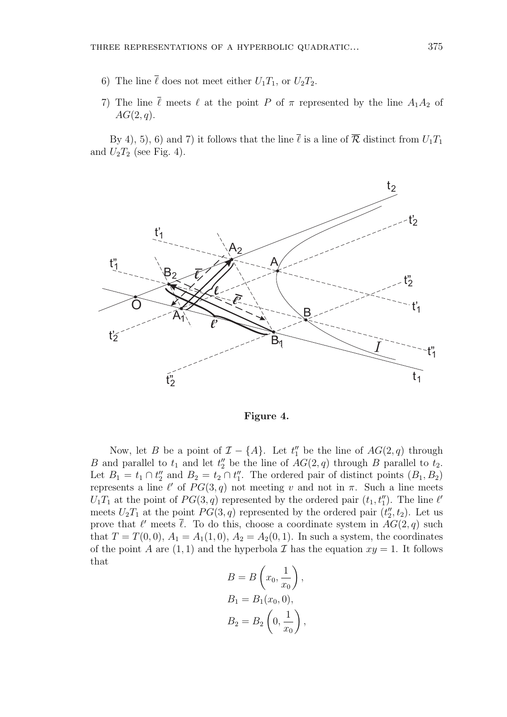- 6) The line  $\bar{\ell}$  does not meet either  $U_1T_1$ , or  $U_2T_2$ .
- 7) The line  $\bar{\ell}$  meets  $\ell$  at the point P of  $\pi$  represented by the line  $A_1A_2$  of  $AG(2,q).$

By 4), 5), 6) and 7) it follows that the line  $\bar{\ell}$  is a line of  $\bar{\mathcal{R}}$  distinct from  $U_1T_1$ and  $U_2T_2$  (see Fig. 4).



Figure 4.

Now, let B be a point of  $\mathcal{I} - \{A\}$ . Let  $t''_1$  be the line of  $AG(2, q)$  through B and parallel to  $t_1$  and let  $t_2''$  be the line of  $AG(2, q)$  through B parallel to  $t_2$ . Let  $B_1 = t_1 \cap t_2''$  and  $B_2 = t_2 \cap t_1''$ . The ordered pair of distinct points  $(B_1, B_2)$ represents a line  $\ell'$  of  $PG(3, q)$  not meeting v and not in  $\pi$ . Such a line meets  $U_1T_1$  at the point of  $PG(3, q)$  represented by the ordered pair  $(t_1, t_1'')$ . The line  $\ell'$ meets  $U_2T_1$  at the point  $PG(3, q)$  represented by the ordered pair  $(t''_2, t_2)$ . Let us prove that  $\ell'$  meets  $\overline{\ell}$ . To do this, choose a coordinate system in  $AG(2, q)$  such that  $T = T(0, 0)$ ,  $A_1 = A_1(1, 0)$ ,  $A_2 = A_2(0, 1)$ . In such a system, the coordinates of the point A are  $(1, 1)$  and the hyperbola T has the equation  $xy = 1$ . It follows that  $\overline{a}$  $\mathbf{r}$ 

$$
B = B\left(x_0, \frac{1}{x_0}\right),
$$
  
\n
$$
B_1 = B_1(x_0, 0),
$$
  
\n
$$
B_2 = B_2\left(0, \frac{1}{x_0}\right),
$$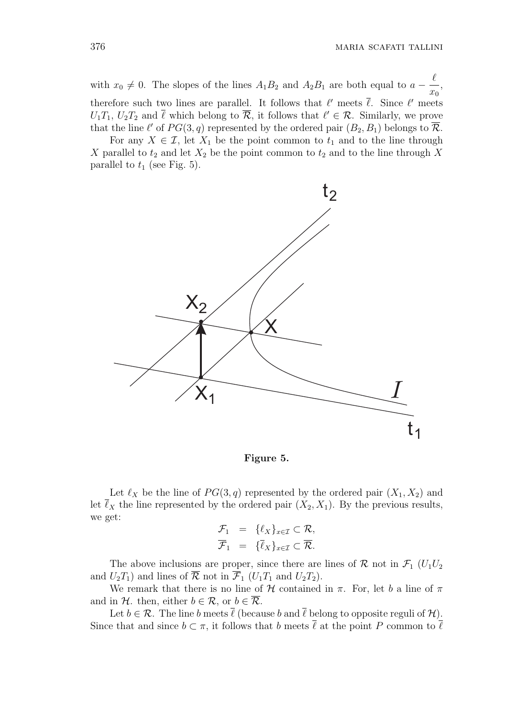with  $x_0 \neq 0$ . The slopes of the lines  $A_1B_2$  and  $A_2B_1$  are both equal to  $a$  −  $\ell$  $\overline{x_0}$ , therefore such two lines are parallel. It follows that  $\ell'$  meets  $\overline{\ell}$ . Since  $\ell'$  meets  $U_1T_1, U_2T_2$  and  $\overline{\ell}$  which belong to  $\overline{\mathcal{R}}$ , it follows that  $\ell' \in \mathcal{R}$ . Similarly, we prove that the line  $\ell'$  of  $PG(3, q)$  represented by the ordered pair  $(B_2, B_1)$  belongs to  $\overline{\mathcal{R}}$ .

For any  $X \in \mathcal{I}$ , let  $X_1$  be the point common to  $t_1$  and to the line through X parallel to  $t_2$  and let  $X_2$  be the point common to  $t_2$  and to the line through X parallel to  $t_1$  (see Fig. 5).



Figure 5.

Let  $\ell_X$  be the line of  $PG(3, q)$  represented by the ordered pair  $(X_1, X_2)$  and let  $\overline{\ell}_X$  the line represented by the ordered pair  $(X_2, X_1)$ . By the previous results, we get:

$$
\mathcal{F}_1 = \{ \ell_X \}_{x \in \mathcal{I}} \subset \mathcal{R},
$$
  

$$
\overline{\mathcal{F}}_1 = \{ \overline{\ell}_X \}_{x \in \mathcal{I}} \subset \overline{\mathcal{R}}.
$$

The above inclusions are proper, since there are lines of  $\mathcal{R}$  not in  $\mathcal{F}_1$  ( $U_1U_2$ ) and  $U_2T_1$ ) and lines of  $\overline{\mathcal{R}}$  not in  $\overline{\mathcal{F}}_1$  ( $U_1T_1$  and  $U_2T_2$ ).

We remark that there is no line of  $H$  contained in  $\pi$ . For, let b a line of  $\pi$ and in H. then, either  $b \in \mathcal{R}$ , or  $b \in \overline{\mathcal{R}}$ .

Let  $b \in \mathcal{R}$ . The line b meets  $\overline{\ell}$  (because b and  $\overline{\ell}$  belong to opposite reguli of  $\mathcal{H}$ ). Since that and since  $b \subset \pi$ , it follows that b meets  $\overline{\ell}$  at the point P common to  $\overline{\ell}$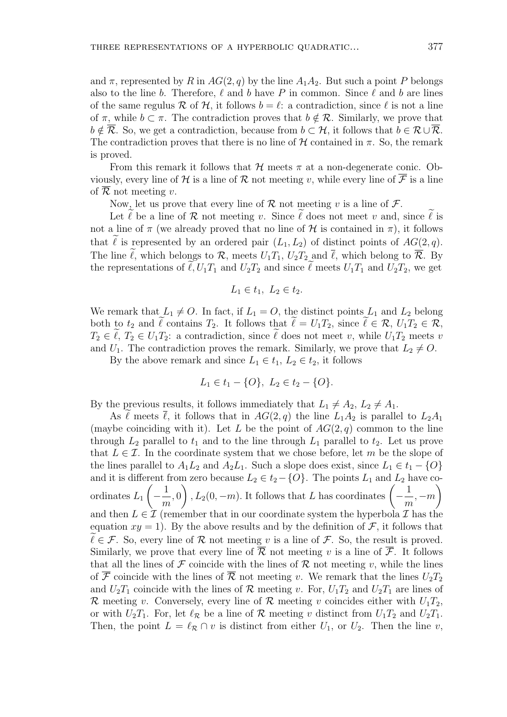and  $\pi$ , represented by R in  $AG(2, q)$  by the line  $A_1A_2$ . But such a point P belongs also to the line b. Therefore,  $\ell$  and b have P in common. Since  $\ell$  and b are lines of the same regulus R of H, it follows  $b = \ell$ : a contradiction, since  $\ell$  is not a line of  $\pi$ , while  $b \subset \pi$ . The contradiction proves that  $b \notin \mathcal{R}$ . Similarly, we prove that  $b \notin \overline{\mathcal{R}}$ . So, we get a contradiction, because from  $b \subset \mathcal{H}$ , it follows that  $b \in \mathcal{R} \cup \overline{\mathcal{R}}$ . The contradiction proves that there is no line of  $H$  contained in  $\pi$ . So, the remark is proved.

From this remark it follows that  $H$  meets  $\pi$  at a non-degenerate conic. Obviously, every line of H is a line of R not meeting v, while every line of  $\overline{\mathcal{F}}$  is a line of  $\overline{\mathcal{R}}$  not meeting v.

Now, let us prove that every line of  $\mathcal R$  not meeting v is a line of  $\mathcal F$ .

Let  $\ell$  be a line of  $\mathcal R$  not meeting v. Since  $\ell$  does not meet v and, since  $\ell$  is not a line of  $\pi$  (we already proved that no line of H is contained in  $\pi$ ), it follows that  $\tilde{\ell}$  is represented by an ordered pair  $(L_1, L_2)$  of distinct points of  $AG(2, q)$ . The line  $\tilde{\ell}$ , which belongs to  $\mathcal{R}$ , meets  $U_1T_1$ ,  $U_2T_2$  and  $\bar{\ell}$ , which belong to  $\bar{\mathcal{R}}$ . By the representations of  $\widetilde{\ell}, U_1T_1$  and  $U_2T_2$  and since  $\widetilde{\ell}$  meets  $U_1T_1$  and  $U_2T_2$ , we get

$$
L_1 \in t_1, \ L_2 \in t_2.
$$

We remark that  $L_1 \neq O$ . In fact, if  $L_1 = O$ , the distinct points  $L_1$  and  $L_2$  belong both to  $t_2$  and  $\ell$  contains  $T_2$ . It follows that  $\ell = U_1T_2$ , since  $\ell \in \mathcal{R}, U_1T_2 \in \mathcal{R}$ ,  $T_2 \in \tilde{\ell}, T_2 \in U_1T_2$ : a contradiction, since  $\tilde{\ell}$  does not meet v, while  $U_1T_2$  meets v and  $U_1$ . The contradiction proves the remark. Similarly, we prove that  $L_2 \neq O$ .

By the above remark and since  $L_1 \in t_1$ ,  $L_2 \in t_2$ , it follows

$$
L_1 \in t_1 - \{O\}, L_2 \in t_2 - \{O\}.
$$

By the previous results, it follows immediately that  $L_1 \neq A_2$ ,  $L_2 \neq A_1$ .

As  $\ell$  meets  $\overline{\ell}$ , it follows that in  $AG(2, q)$  the line  $L_1A_2$  is parallel to  $L_2A_1$ (maybe coinciding with it). Let L be the point of  $AG(2, q)$  common to the line through  $L_2$  parallel to  $t_1$  and to the line through  $L_1$  parallel to  $t_2$ . Let us prove that  $L \in \mathcal{I}$ . In the coordinate system that we chose before, let m be the slope of the lines parallel to  $A_1L_2$  and  $A_2L_1$ . Such a slope does exist, since  $L_1 \in t_1 - \{O\}$ and it is different from zero because  $L_2 \in t_2 - \{O\}$ . The points  $L_1$  and  $L_2$  have coordinates  $L_1$  |  $-$ 1 m  $\begin{pmatrix} 0 & \text{if } 0 & \text{if } 0 & \text{if } 0 & \text{if } 0 & \text{if } 0 & \text{if } 0 & \text{if } 0 & \text{if } 0 & \text{if } 0 & \text{if } 0 & \text{if } 0 & \text{if } 0 & \text{if } 0 & \text{if } 0 & \text{if } 0 & \text{if } 0 & \text{if } 0 & \text{if } 0 & \text{if } 0 & \text{if } 0 & \text{if } 0 & \text{if } 0 & \text{if } 0 & \text{if } 0 & \text{if } 0 & \text{if } 0 & \text{$ 1 m  $, -m$ and then  $L \in \mathcal{I}$  (remember that in our coordinate system the hyperbola  $\mathcal{I}$  has the equation  $xy = 1$ . By the above results and by the definition of F, it follows that  $\ell \in \mathcal{F}$ . So, every line of R not meeting v is a line of F. So, the result is proved. Similarly, we prove that every line of  $\overline{\mathcal{R}}$  not meeting v is a line of  $\overline{\mathcal{F}}$ . It follows that all the lines of  $\mathcal F$  coincide with the lines of  $\mathcal R$  not meeting v, while the lines of  $\overline{\mathcal{F}}$  coincide with the lines of  $\overline{\mathcal{R}}$  not meeting v. We remark that the lines  $U_2T_2$ and  $U_2T_1$  coincide with the lines of  $\mathcal R$  meeting v. For,  $U_1T_2$  and  $U_2T_1$  are lines of R meeting v. Conversely, every line of R meeting v coincides either with  $U_1T_2$ , or with  $U_2T_1$ . For, let  $\ell_{\mathcal{R}}$  be a line of  $\mathcal R$  meeting v distinct from  $U_1T_2$  and  $U_2T_1$ . Then, the point  $L = \ell_{\mathcal{R}} \cap v$  is distinct from either  $U_1$ , or  $U_2$ . Then the line v,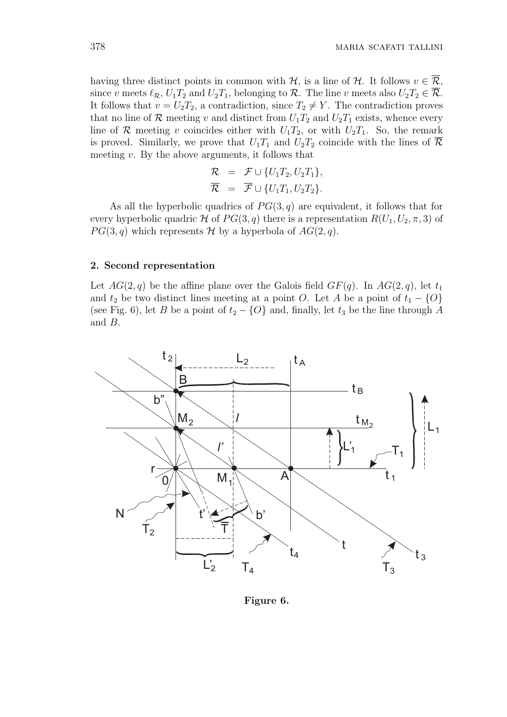having three distinct points in common with  $H$ , is a line of  $H$ . It follows  $v \in \overline{R}$ , since v meets  $\ell_{\mathcal{R}}$ ,  $U_1T_2$  and  $U_2T_1$ , belonging to  $\mathcal{R}$ . The line v meets also  $U_2T_2 \in \overline{\mathcal{R}}$ . It follows that  $v = U_2T_2$ , a contradiction, since  $T_2 \neq Y$ . The contradiction proves that no line of  $\mathcal R$  meeting v and distinct from  $U_1T_2$  and  $U_2T_1$  exists, whence every line of R meeting v coincides either with  $U_1T_2$ , or with  $U_2T_1$ . So, the remark is proved. Similarly, we prove that  $U_1T_1$  and  $U_2T_2$  coincide with the lines of  $\overline{\mathcal{R}}$ meeting  $v$ . By the above arguments, it follows that

$$
\begin{array}{lcl} \mathcal{R} & = & \mathcal{F} \cup \{U_1T_2, U_2T_1\}, \\ \overline{\mathcal{R}} & = & \overline{\mathcal{F}} \cup \{U_1T_1, U_2T_2\}. \end{array}
$$

As all the hyperbolic quadrics of  $PG(3, q)$  are equivalent, it follows that for every hyperbolic quadric H of  $PG(3, q)$  there is a representation  $R(U_1, U_2, \pi, 3)$  of  $PG(3, q)$  which represents H by a hyperbola of  $AG(2, q)$ .

#### 2. Second representation

Let  $AG(2, q)$  be the affine plane over the Galois field  $GF(q)$ . In  $AG(2, q)$ , let  $t_1$ and  $t_2$  be two distinct lines meeting at a point O. Let A be a point of  $t_1 - \{O\}$ (see Fig. 6), let B be a point of  $t_2 - \{O\}$  and, finally, let  $t_3$  be the line through A and B.

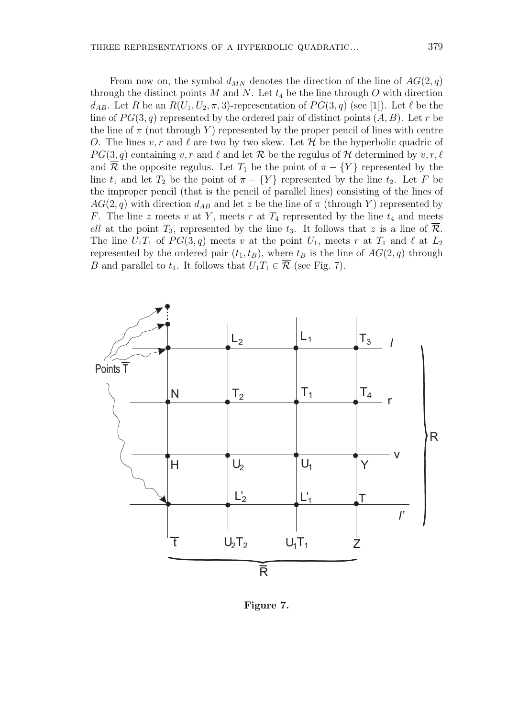From now on, the symbol  $d_{MN}$  denotes the direction of the line of  $AG(2, q)$ through the distinct points M and N. Let  $t_4$  be the line through O with direction  $d_{AB}$ . Let R be an  $R(U_1, U_2, \pi, 3)$ -representation of  $PG(3, q)$  (see [1]). Let  $\ell$  be the line of  $PG(3, q)$  represented by the ordered pair of distinct points  $(A, B)$ . Let r be the line of  $\pi$  (not through Y) represented by the proper pencil of lines with centre O. The lines  $v, r$  and  $\ell$  are two by two skew. Let  $\mathcal H$  be the hyperbolic quadric of  $PG(3, q)$  containing v, r and  $\ell$  and let R be the regulus of H determined by v, r,  $\ell$ and  $\overline{\mathcal{R}}$  the opposite regulus. Let  $T_1$  be the point of  $\pi - \{Y\}$  represented by the line  $t_1$  and let  $T_2$  be the point of  $\pi - \{Y\}$  represented by the line  $t_2$ . Let F be the improper pencil (that is the pencil of parallel lines) consisting of the lines of  $AG(2, q)$  with direction  $d_{AB}$  and let z be the line of  $\pi$  (through Y) represented by F. The line z meets v at Y, meets r at  $T_4$  represented by the line  $t_4$  and meets ell at the point  $T_3$ , represented by the line  $t_3$ . It follows that z is a line of  $\overline{\mathcal{R}}$ . The line  $U_1T_1$  of  $PG(3, q)$  meets v at the point  $U_1$ , meets r at  $T_1$  and  $\ell$  at  $L_2$ represented by the ordered pair  $(t_1, t_B)$ , where  $t_B$  is the line of  $AG(2, q)$  through B and parallel to  $t_1$ . It follows that  $U_1T_1 \in \overline{\mathcal{R}}$  (see Fig. 7).



Figure 7.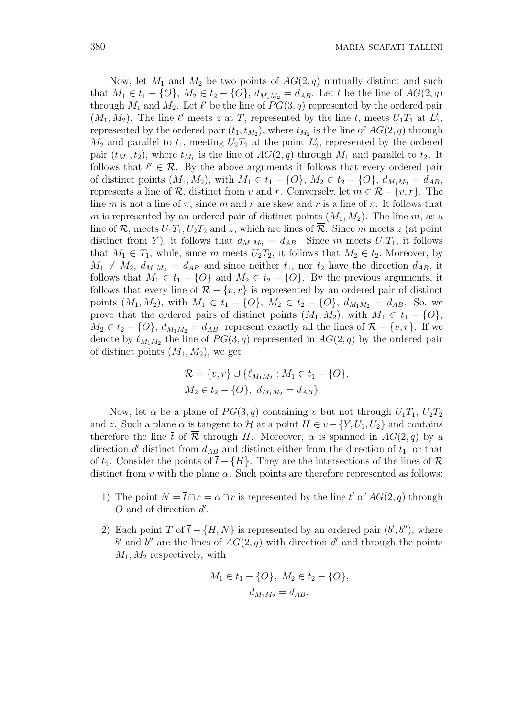Now, let  $M_1$  and  $M_2$  be two points of  $AG(2, q)$  mutually distinct and such that  $M_1 \in t_1 - \{O\}, M_2 \in t_2 - \{O\}, d_{M_1M_2} = d_{AB}$ . Let t be the line of  $AG(2, q)$ through  $M_1$  and  $M_2$ . Let  $\ell'$  be the line of  $PG(3, q)$  represented by the ordered pair  $(M_1, M_2)$ . The line  $\ell'$  meets z at T, represented by the line t, meets  $U_1T_1$  at  $L'_1$ , represented by the ordered pair  $(t_1, t_{M_2})$ , where  $t_{M_2}$  is the line of  $AG(2, q)$  through  $M_2$  and parallel to  $t_1$ , meeting  $U_2T_2$  at the point  $L'_2$ , represented by the ordered pair  $(t_{M_1}, t_2)$ , where  $t_{M_1}$  is the line of  $AG(2, q)$  through  $M_1$  and parallel to  $t_2$ . It follows that  $\ell' \in \mathcal{R}$ . By the above arguments it follows that every ordered pair of distinct points  $(M_1, M_2)$ , with  $M_1 \in t_1 - \{O\}$ ,  $M_2 \in t_2 - \{O\}$ ,  $d_{M_1M_2} = d_{AB}$ , represents a line of R, distinct from v and r. Conversely, let  $m \in \mathcal{R} - \{v, r\}$ . The line m is not a line of  $\pi$ , since m and r are skew and r is a line of  $\pi$ . It follows that m is represented by an ordered pair of distinct points  $(M_1, M_2)$ . The line m, as a line of  $\mathcal{R}$ , meets  $U_1T_1, U_2T_2$  and z, which are lines of  $\mathcal{R}$ . Since m meets z (at point distinct from Y), it follows that  $d_{M_1M_2} = d_{AB}$ . Since m meets  $U_1T_1$ , it follows that  $M_1 \in T_1$ , while, since m meets  $U_2T_2$ , it follows that  $M_2 \in t_2$ . Moreover, by  $M_1 \neq M_2$ ,  $d_{M_1M_2} = d_{AB}$  and since neither  $t_1$ , nor  $t_2$  have the direction  $d_{AB}$ , it follows that  $M_1 \in t_1 - \{O\}$  and  $M_2 \in t_2 - \{O\}$ . By the previous arguments, it follows that every line of  $\mathcal{R} - \{v, r\}$  is represented by an ordered pair of distinct points  $(M_1, M_2)$ , with  $M_1 \in t_1 - \{O\}$ ,  $M_2 \in t_2 - \{O\}$ ,  $d_{M_1M_2} = d_{AB}$ . So, we prove that the ordered pairs of distinct points  $(M_1, M_2)$ , with  $M_1 \in t_1 - \{O\}$ ,  $M_2 \in t_2 - \{O\}, d_{M_1M_2} = d_{AB}$ , represent exactly all the lines of  $\mathcal{R} - \{v, r\}$ . If we denote by  $\ell_{M_1M_2}$  the line of  $PG(3, q)$  represented in  $AG(2, q)$  by the ordered pair of distinct points  $(M_1, M_2)$ , we get

$$
\mathcal{R} = \{v, r\} \cup \{\ell_{M_1 M_2} : M_1 \in t_1 - \{O\},
$$
  

$$
M_2 \in t_2 - \{O\}, d_{M_1 M_2} = d_{AB}\}.
$$

Now, let  $\alpha$  be a plane of  $PG(3, q)$  containing v but not through  $U_1T_1, U_2T_2$ and z. Such a plane  $\alpha$  is tangent to H at a point  $H \in v - \{Y, U_1, U_2\}$  and contains therefore the line  $\bar{t}$  of  $\bar{\mathcal{R}}$  through H. Moreover,  $\alpha$  is spanned in  $AG(2, q)$  by a direction  $d'$  distinct from  $d_{AB}$  and distinct either from the direction of  $t_1$ , or that of  $t_2$ . Consider the points of  $\bar{t} - \{H\}$ . They are the intersections of the lines of  $\mathcal R$ distinct from v with the plane  $\alpha$ . Such points are therefore represented as follows:

- 1) The point  $N = \overline{t} \cap r = \alpha \cap r$  is represented by the line t' of  $AG(2, q)$  through  $O$  and of direction  $d'$ .
- 2) Each point  $\overline{T}$  of  $\overline{t} \{H, N\}$  is represented by an ordered pair  $(b', b'')$ , where b' and b'' are the lines of  $AG(2, q)$  with direction d' and through the points  $M_1, M_2$  respectively, with

$$
M_1 \in t_1 - \{O\}, \ M_2 \in t_2 - \{O\},
$$
  

$$
d_{M_1 M_2} = d_{AB}.
$$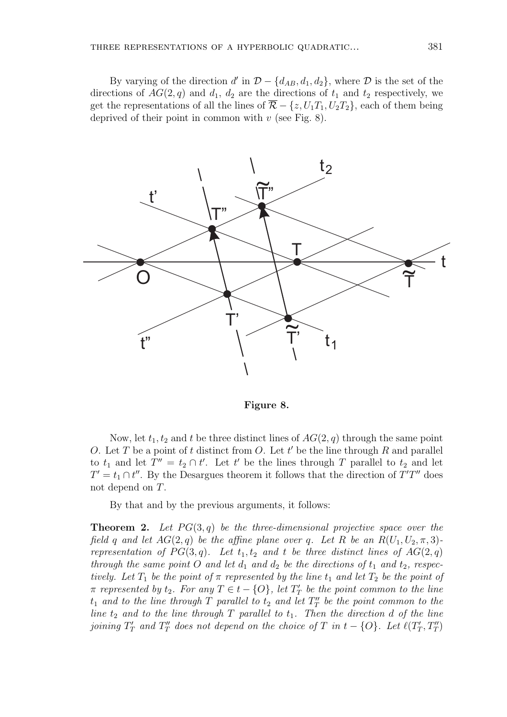By varying of the direction  $d'$  in  $\mathcal{D} - \{d_{AB}, d_1, d_2\}$ , where  $\mathcal D$  is the set of the directions of  $AG(2, q)$  and  $d_1$ ,  $d_2$  are the directions of  $t_1$  and  $t_2$  respectively, we get the representations of all the lines of  $\overline{\mathcal{R}}$  –  $\{z, U_1T_1, U_2T_2\}$ , each of them being deprived of their point in common with  $v$  (see Fig. 8).



Figure 8.

Now, let  $t_1, t_2$  and t be three distinct lines of  $AG(2, q)$  through the same point O. Let T be a point of t distinct from O. Let  $t'$  be the line through R and parallel to  $t_1$  and let  $T'' = t_2 \cap t'$ . Let t' be the lines through T parallel to  $t_2$  and let  $T' = t_1 \cap t''$ . By the Desargues theorem it follows that the direction of  $T'T''$  does not depend on T.

By that and by the previous arguments, it follows:

**Theorem 2.** Let  $PG(3,q)$  be the three-dimensional projective space over the field q and let  $AG(2, q)$  be the affine plane over q. Let R be an  $R(U_1, U_2, \pi, 3)$ representation of  $PG(3, q)$ . Let  $t_1, t_2$  and t be three distinct lines of  $AG(2, q)$ through the same point O and let  $d_1$  and  $d_2$  be the directions of  $t_1$  and  $t_2$ , respectively. Let  $T_1$  be the point of  $\pi$  represented by the line  $t_1$  and let  $T_2$  be the point of  $\pi$  represented by  $t_2$ . For any  $T \in t - \{O\}$ , let  $T'_T$  be the point common to the line  $t_1$  and to the line through  $T$  parallel to  $t_2$  and let  $T''_T$  be the point common to the line  $t_2$  and to the line through T parallel to  $t_1$ . Then the direction d of the line joining  $T'_T$  and  $T''_T$  does not depend on the choice of T in  $t - \{O\}$ . Let  $\ell(T'_T, T''_T)$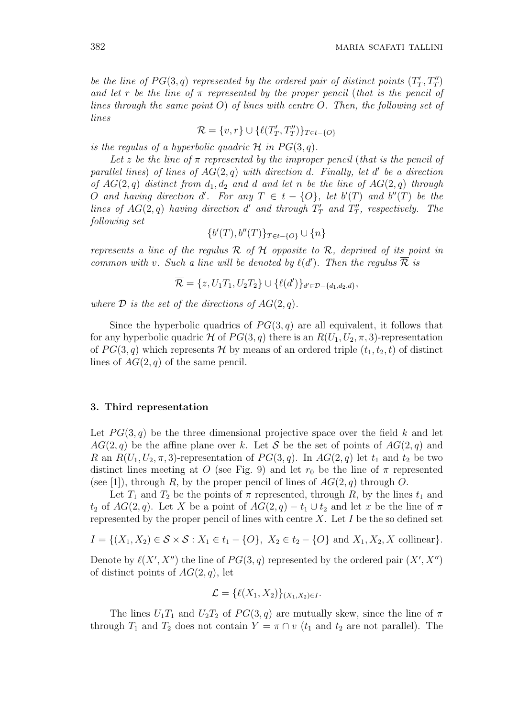be the line of  $PG(3, q)$  represented by the ordered pair of distinct points  $(T_T', T_T'')$ and let r be the line of  $\pi$  represented by the proper pencil (that is the pencil of lines through the same point  $O$ ) of lines with centre  $O$ . Then, the following set of lines

$$
\mathcal{R} = \{v, r\} \cup \{\ell(T'_T, T''_T)\}_{T \in t - \{O\}}
$$

is the regulus of a hyperbolic quadric  $\mathcal H$  in  $PG(3, q)$ .

Let z be the line of  $\pi$  represented by the improper pencil (that is the pencil of parallel lines) of lines of  $AG(2, q)$  with direction d. Finally, let d' be a direction of  $AG(2, q)$  distinct from  $d_1, d_2$  and d and let n be the line of  $AG(2, q)$  through O and having direction d'. For any  $T \in t - \{O\}$ , let  $b'(T)$  and  $b''(T)$  be the lines of  $AG(2,q)$  having direction d' and through  $T'_T$  and  $T''_T$ , respectively. The following set

$$
\{b'(T), b''(T)\}_{T \in t - \{O\}} \cup \{n\}
$$

represents a line of the regulus  $\overline{\mathcal{R}}$  of  $\mathcal{H}$  opposite to  $\mathcal{R}$ , deprived of its point in common with v. Such a line will be denoted by  $\ell(d')$ . Then the regulus  $\overline{\mathcal{R}}$  is

$$
\overline{\mathcal{R}} = \{z, U_1T_1, U_2T_2\} \cup \{\ell(d')\}_{d' \in \mathcal{D} - \{d_1, d_2, d\}},
$$

where  $\mathcal D$  is the set of the directions of  $AG(2, q)$ .

Since the hyperbolic quadrics of  $PG(3, q)$  are all equivalent, it follows that for any hyperbolic quadric H of  $PG(3, q)$  there is an  $R(U_1, U_2, \pi, 3)$ -representation of  $PG(3, q)$  which represents H by means of an ordered triple  $(t_1, t_2, t)$  of distinct lines of  $AG(2, q)$  of the same pencil.

#### 3. Third representation

Let  $PG(3,q)$  be the three dimensional projective space over the field k and let  $AG(2, q)$  be the affine plane over k. Let S be the set of points of  $AG(2, q)$  and R an  $R(U_1, U_2, \pi, 3)$ -representation of  $PG(3, q)$ . In  $AG(2, q)$  let  $t_1$  and  $t_2$  be two distinct lines meeting at O (see Fig. 9) and let  $r_0$  be the line of  $\pi$  represented (see [1]), through R, by the proper pencil of lines of  $AG(2, q)$  through O.

Let  $T_1$  and  $T_2$  be the points of  $\pi$  represented, through R, by the lines  $t_1$  and  $t_2$  of  $AG(2,q)$ . Let X be a point of  $AG(2,q) - t_1 \cup t_2$  and let x be the line of  $\pi$ represented by the proper pencil of lines with centre  $X$ . Let  $I$  be the so defined set

$$
I = \{(X_1, X_2) \in \mathcal{S} \times \mathcal{S} : X_1 \in t_1 - \{O\}, X_2 \in t_2 - \{O\} \text{ and } X_1, X_2, X \text{ collinear}\}.
$$

Denote by  $\ell(X', X'')$  the line of  $PG(3, q)$  represented by the ordered pair  $(X', X'')$ of distinct points of  $AG(2, q)$ , let

$$
\mathcal{L} = \{ \ell(X_1, X_2) \}_{(X_1, X_2) \in I}.
$$

The lines  $U_1T_1$  and  $U_2T_2$  of  $PG(3, q)$  are mutually skew, since the line of  $\pi$ through  $T_1$  and  $T_2$  does not contain  $Y = \pi \cap v$  ( $t_1$  and  $t_2$  are not parallel). The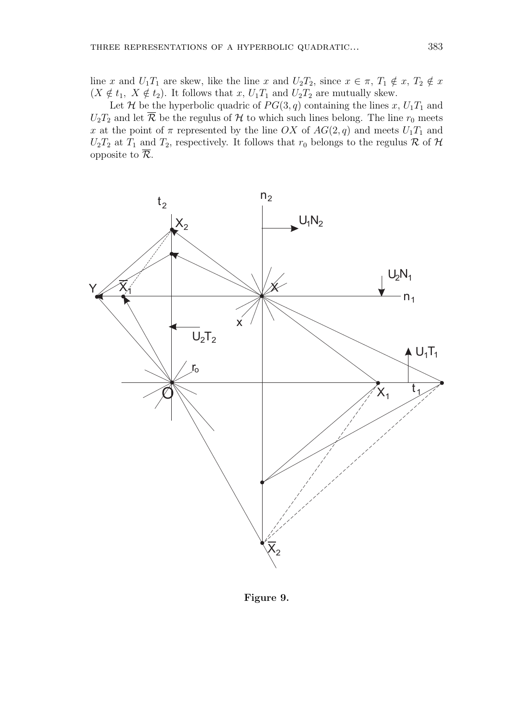line x and  $U_1T_1$  are skew, like the line x and  $U_2T_2$ , since  $x \in \pi$ ,  $T_1 \notin x$ ,  $T_2 \notin x$  $(X \notin t_1, X \notin t_2)$ . It follows that  $x, U_1T_1$  and  $U_2T_2$  are mutually skew.

Let H be the hyperbolic quadric of  $PG(3, q)$  containing the lines x,  $U_1T_1$  and  $U_2T_2$  and let  $\overline{\mathcal{R}}$  be the regulus of  $\mathcal H$  to which such lines belong. The line  $r_0$  meets x at the point of  $\pi$  represented by the line OX of  $AG(2, q)$  and meets  $U_1T_1$  and  $U_2T_2$  at  $T_1$  and  $T_2$ , respectively. It follows that  $r_0$  belongs to the regulus R of H opposite to  $\overline{\mathcal{R}}$ .



Figure 9.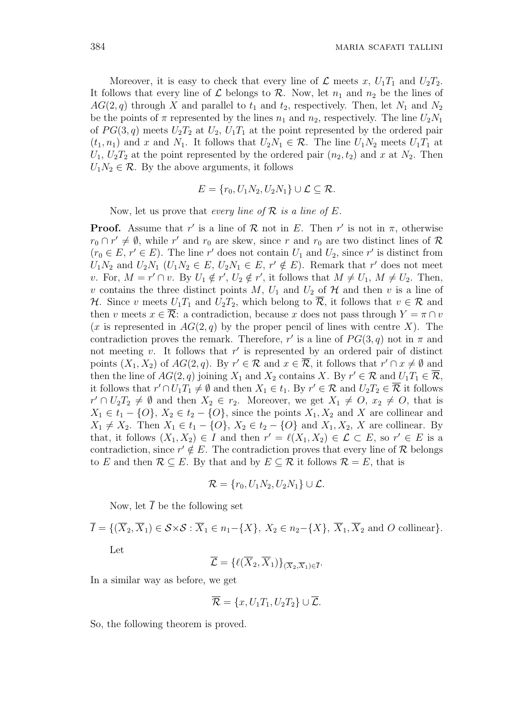Moreover, it is easy to check that every line of  $\mathcal L$  meets x,  $U_1T_1$  and  $U_2T_2$ . It follows that every line of  $\mathcal L$  belongs to  $\mathcal R$ . Now, let  $n_1$  and  $n_2$  be the lines of  $AG(2,q)$  through X and parallel to  $t_1$  and  $t_2$ , respectively. Then, let  $N_1$  and  $N_2$ be the points of  $\pi$  represented by the lines  $n_1$  and  $n_2$ , respectively. The line  $U_2N_1$ of  $PG(3, q)$  meets  $U_2T_2$  at  $U_2$ ,  $U_1T_1$  at the point represented by the ordered pair  $(t_1, n_1)$  and x and N<sub>1</sub>. It follows that  $U_2N_1 \in \mathcal{R}$ . The line  $U_1N_2$  meets  $U_1T_1$  at  $U_1, U_2T_2$  at the point represented by the ordered pair  $(n_2, t_2)$  and x at  $N_2$ . Then  $U_1N_2 \in \mathcal{R}$ . By the above arguments, it follows

$$
E = \{r_0, U_1N_2, U_2N_1\} \cup \mathcal{L} \subseteq \mathcal{R}.
$$

Now, let us prove that every line of  $\mathcal R$  is a line of  $E$ .

**Proof.** Assume that r' is a line of  $\mathcal{R}$  not in E. Then r' is not in  $\pi$ , otherwise  $r_0 \cap r' \neq \emptyset$ , while r' and  $r_0$  are skew, since r and  $r_0$  are two distinct lines of R  $(r_0 \in E, r' \in E)$ . The line r' does not contain  $U_1$  and  $U_2$ , since r' is distinct from  $U_1N_2$  and  $U_2N_1$   $(U_1N_2 \in E, U_2N_1 \in E, r' \notin E)$ . Remark that r' does not meet v. For,  $M = r' \cap v$ . By  $U_1 \notin r'$ ,  $U_2 \notin r'$ , it follows that  $M \neq U_1$ ,  $M \neq U_2$ . Then, v contains the three distinct points M,  $U_1$  and  $U_2$  of H and then v is a line of H. Since v meets  $U_1T_1$  and  $U_2T_2$ , which belong to  $\overline{\mathcal{R}}$ , it follows that  $v \in \mathcal{R}$  and then v meets  $x \in \overline{\mathcal{R}}$ : a contradiction, because x does not pass through  $Y = \pi \cap v$  $(x$  is represented in  $AG(2, q)$  by the proper pencil of lines with centre X). The contradiction proves the remark. Therefore, r' is a line of  $PG(3, q)$  not in  $\pi$  and not meeting v. It follows that  $r'$  is represented by an ordered pair of distinct points  $(X_1, X_2)$  of  $AG(2, q)$ . By  $r' \in \mathcal{R}$  and  $x \in \overline{\mathcal{R}}$ , it follows that  $r' \cap x \neq \emptyset$  and then the line of  $AG(2,q)$  joining  $X_1$  and  $X_2$  contains X. By  $r' \in \mathcal{R}$  and  $U_1T_1 \in \overline{\mathcal{R}}$ , it follows that  $r' \cap U_1 T_1 \neq \emptyset$  and then  $X_1 \in t_1$ . By  $r' \in \mathcal{R}$  and  $U_2 T_2 \in \overline{\mathcal{R}}$  it follows  $r' \cap U_2 T_2 \neq \emptyset$  and then  $X_2 \in r_2$ . Moreover, we get  $X_1 \neq O, x_2 \neq O$ , that is  $X_1 \in t_1 - \{O\}, X_2 \in t_2 - \{O\},$  since the points  $X_1, X_2$  and X are collinear and  $X_1 \neq X_2$ . Then  $X_1 \in t_1 - \{O\}$ ,  $X_2 \in t_2 - \{O\}$  and  $X_1, X_2, X$  are collinear. By that, it follows  $(X_1, X_2) \in I$  and then  $r' = \ell(X_1, X_2) \in \mathcal{L} \subset E$ , so  $r' \in E$  is a contradiction, since  $r' \notin E$ . The contradiction proves that every line of R belongs to E and then  $\mathcal{R} \subseteq E$ . By that and by  $E \subseteq \mathcal{R}$  it follows  $\mathcal{R} = E$ , that is

$$
\mathcal{R} = \{r_0, U_1N_2, U_2N_1\} \cup \mathcal{L}.
$$

Now, let  $\overline{I}$  be the following set

$$
\overline{I} = \{ (\overline{X}_2, \overline{X}_1) \in \mathcal{S} \times \mathcal{S} : \overline{X}_1 \in n_1 - \{X\}, \ X_2 \in n_2 - \{X\}, \ \overline{X}_1, \overline{X}_2 \text{ and } O \text{ collinear} \}.
$$
  
Let  $\overline{I} = \{ (\overline{X}_2, \overline{X}_1) \}.$ 

$$
\overline{\mathcal{L}}=\{\ell(\overline{X}_2,\overline{X}_1)\}_{(\overline{X}_2,\overline{X}_1)\in \overline{I}}.
$$

In a similar way as before, we get

$$
\overline{\mathcal{R}} = \{x, U_1T_1, U_2T_2\} \cup \overline{\mathcal{L}}.
$$

So, the following theorem is proved.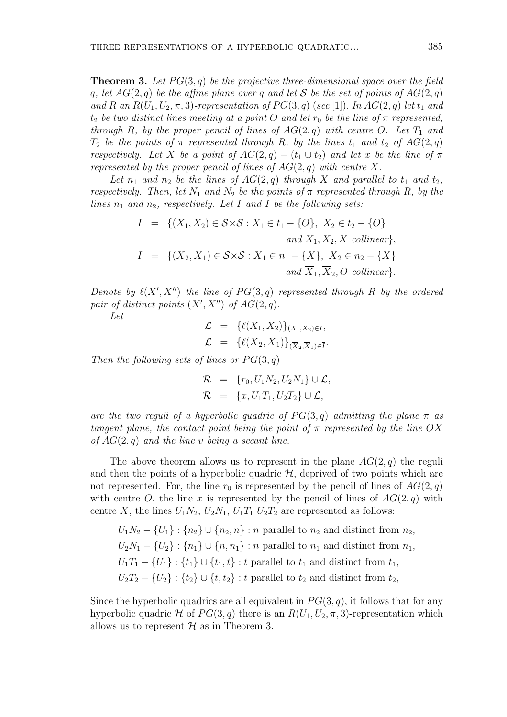**Theorem 3.** Let  $PG(3, q)$  be the projective three-dimensional space over the field q, let  $AG(2, q)$  be the affine plane over q and let S be the set of points of  $AG(2, q)$ and R an  $R(U_1, U_2, \pi, 3)$ -representation of  $PG(3, q)$  (see [1]). In  $AG(2, q)$  let  $t_1$  and  $t_2$  be two distinct lines meeting at a point O and let  $r_0$  be the line of  $\pi$  represented, through R, by the proper pencil of lines of  $AG(2, q)$  with centre O. Let  $T_1$  and  $T_2$  be the points of  $\pi$  represented through R, by the lines  $t_1$  and  $t_2$  of  $AG(2, q)$ respectively. Let X be a point of  $AG(2,q) - (t_1 \cup t_2)$  and let x be the line of  $\pi$ represented by the proper pencil of lines of  $AG(2, q)$  with centre X.

Let  $n_1$  and  $n_2$  be the lines of  $AG(2, q)$  through X and parallel to  $t_1$  and  $t_2$ , respectively. Then, let  $N_1$  and  $N_2$  be the points of  $\pi$  represented through R, by the lines  $n_1$  and  $n_2$ , respectively. Let I and  $\overline{I}$  be the following sets:

$$
I = \{ (X_1, X_2) \in \mathcal{S} \times \mathcal{S} : X_1 \in t_1 - \{O\}, X_2 \in t_2 - \{O\}
$$
  
\nand  $X_1, X_2, X$  collinear $\},$   
\n
$$
\overline{I} = \{ (\overline{X}_2, \overline{X}_1) \in \mathcal{S} \times \mathcal{S} : \overline{X}_1 \in n_1 - \{X\}, \overline{X}_2 \in n_2 - \{X\}
$$
  
\nand  $\overline{X}_1, \overline{X}_2, O$  collinear $\}.$ 

Denote by  $\ell(X', X'')$  the line of  $PG(3, q)$  represented through R by the ordered pair of distinct points  $(X', X'')$  of  $AG(2, q)$ .

Let

$$
\mathcal{L} = \{ \ell(X_1, X_2) \}_{(X_1, X_2) \in I},
$$
  

$$
\mathcal{L} = \{ \ell(\overline{X}_2, \overline{X}_1) \}_{(\overline{X}_2, \overline{X}_1) \in \overline{I}}.
$$

Then the following sets of lines or  $PG(3, q)$ 

$$
\mathcal{R} = \{r_0, U_1 N_2, U_2 N_1\} \cup \mathcal{L},
$$
  

$$
\overline{\mathcal{R}} = \{x, U_1 T_1, U_2 T_2\} \cup \overline{\mathcal{L}},
$$

are the two reguli of a hyperbolic quadric of  $PG(3,q)$  admitting the plane  $\pi$  as tangent plane, the contact point being the point of  $\pi$  represented by the line OX of  $AG(2,q)$  and the line v being a secant line.

The above theorem allows us to represent in the plane  $AG(2, q)$  the reguli and then the points of a hyperbolic quadric  $H$ , deprived of two points which are not represented. For, the line  $r_0$  is represented by the pencil of lines of  $AG(2, q)$ with centre O, the line x is represented by the pencil of lines of  $AG(2, q)$  with centre X, the lines  $U_1N_2$ ,  $U_2N_1$ ,  $U_1T_1 U_2T_2$  are represented as follows:

 $U_1N_2 - \{U_1\}$ :  $\{n_2\} \cup \{n_2, n\}$ : n parallel to  $n_2$  and distinct from  $n_2$ ,  $U_2N_1 - \{U_2\}$ :  $\{n_1\} \cup \{n, n_1\}$ : n parallel to  $n_1$  and distinct from  $n_1$ ,  $U_1T_1 - \{U_1\} : \{t_1\} \cup \{t_1, t\} : t$  parallel to  $t_1$  and distinct from  $t_1$ ,  $U_2T_2 - \{U_2\}$ :  $\{t_2\} \cup \{t_1, t_2\}$ : t parallel to  $t_2$  and distinct from  $t_2$ ,

Since the hyperbolic quadrics are all equivalent in  $PG(3, q)$ , it follows that for any hyperbolic quadric H of  $PG(3, q)$  there is an  $R(U_1, U_2, \pi, 3)$ -representation which allows us to represent  $H$  as in Theorem 3.